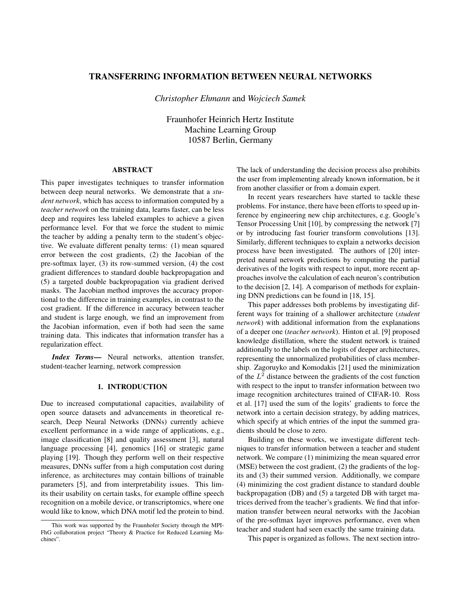# TRANSFERRING INFORMATION BETWEEN NEURAL NETWORKS

*Christopher Ehmann* and *Wojciech Samek*

Fraunhofer Heinrich Hertz Institute Machine Learning Group 10587 Berlin, Germany

# ABSTRACT

This paper investigates techniques to transfer information between deep neural networks. We demonstrate that a *student network*, which has access to information computed by a *teacher network* on the training data, learns faster, can be less deep and requires less labeled examples to achieve a given performance level. For that we force the student to mimic the teacher by adding a penalty term to the student's objective. We evaluate different penalty terms: (1) mean squared error between the cost gradients, (2) the Jacobian of the pre-softmax layer, (3) its row-summed version, (4) the cost gradient differences to standard double backpropagation and (5) a targeted double backpropagation via gradient derived masks. The Jacobian method improves the accuracy proportional to the difference in training examples, in contrast to the cost gradient. If the difference in accuracy between teacher and student is large enough, we find an improvement from the Jacobian information, even if both had seen the same training data. This indicates that information transfer has a regularization effect.

*Index Terms*— Neural networks, attention transfer, student-teacher learning, network compression

### 1. INTRODUCTION

Due to increased computational capacities, availability of open source datasets and advancements in theoretical research, Deep Neural Networks (DNNs) currently achieve excellent performance in a wide range of applications, e.g., image classification [8] and quality assessment [3], natural language processing [4], genomics [16] or strategic game playing [19]. Though they perform well on their respective measures, DNNs suffer from a high computation cost during inference, as architectures may contain billions of trainable parameters [5], and from interpretability issues. This limits their usability on certain tasks, for example offline speech recognition on a mobile device, or transcriptomics, where one would like to know, which DNA motif led the protein to bind.

The lack of understanding the decision process also prohibits the user from implementing already known information, be it from another classifier or from a domain expert.

In recent years researchers have started to tackle these problems. For instance, there have been efforts to speed up inference by engineering new chip architectures, e.g. Google's Tensor Processing Unit [10], by compressing the network [7] or by introducing fast fourier transform convolutions [13]. Similarly, different techniques to explain a networks decision process have been investigated. The authors of [20] interpreted neural network predictions by computing the partial derivatives of the logits with respect to input, more recent approaches involve the calculation of each neuron's contribution to the decision [2, 14]. A comparison of methods for explaining DNN predictions can be found in [18, 15].

This paper addresses both problems by investigating different ways for training of a shallower architecture (*student network*) with additional information from the explanations of a deeper one (*teacher network*). Hinton et al. [9] proposed knowledge distillation, where the student network is trained additionally to the labels on the logits of deeper architectures, representing the unnormalized probabilities of class membership. Zagoruyko and Komodakis [21] used the minimization of the  $L^2$  distance between the gradients of the cost function with respect to the input to transfer information between two image recognition architectures trained of CIFAR-10. Ross et al. [17] used the sum of the logits' gradients to force the network into a certain decision strategy, by adding matrices, which specify at which entries of the input the summed gradients should be close to zero.

Building on these works, we investigate different techniques to transfer information between a teacher and student network. We compare (1) minimizing the mean squared error (MSE) between the cost gradient, (2) the gradients of the logits and (3) their summed version. Additionally, we compare (4) minimizing the cost gradient distance to standard double backpropagation (DB) and (5) a targeted DB with target matrices derived from the teacher's gradients. We find that information transfer between neural networks with the Jacobian of the pre-softmax layer improves performance, even when teacher and student had seen exactly the same training data.

This paper is organized as follows. The next section intro-

This work was supported by the Fraunhofer Society through the MPI-FhG collaboration project "Theory & Practice for Reduced Learning Machines".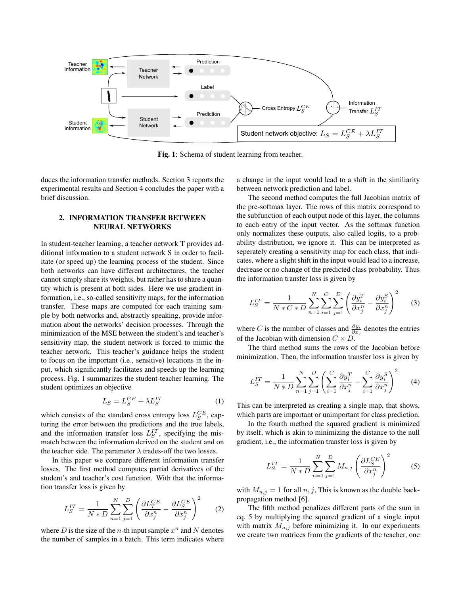

Fig. 1: Schema of student learning from teacher.

duces the information transfer methods. Section 3 reports the experimental results and Section 4 concludes the paper with a brief discussion.

## 2. INFORMATION TRANSFER BETWEEN NEURAL NETWORKS

In student-teacher learning, a teacher network T provides additional information to a student network S in order to facilitate (or speed up) the learning process of the student. Since both networks can have different architectures, the teacher cannot simply share its weights, but rather has to share a quantity which is present at both sides. Here we use gradient information, i.e., so-called sensitivity maps, for the information transfer. These maps are computed for each training sample by both networks and, abstractly speaking, provide information about the networks' decision processes. Through the minimization of the MSE between the student's and teacher's sensitivity map, the student network is forced to mimic the teacher network. This teacher's guidance helps the student to focus on the important (i.e., sensitive) locations in the input, which significantly facilitates and speeds up the learning process. Fig. 1 summarizes the student-teacher learning. The student optimizes an objective

$$
L_S = L_S^{CE} + \lambda L_S^{IT} \tag{1}
$$

which consists of the standard cross entropy loss  $L_S^{CE}$ , capturing the error between the predictions and the true labels, and the information transfer loss  $L_S^{IT}$ , specifying the mismatch between the information derived on the student and on the teacher side. The parameter  $\lambda$  trades-off the two losses.

In this paper we compare different information transfer losses. The first method computes partial derivatives of the student's and teacher's cost function. With that the information transfer loss is given by

$$
L_S^{IT} = \frac{1}{N \ast D} \sum_{n=1}^{N} \sum_{j=1}^{D} \left( \frac{\partial L_T^{CE}}{\partial x_j^n} - \frac{\partial L_S^{CE}}{\partial x_j^n} \right)^2 \tag{2}
$$

where D is the size of the *n*-th input sample  $x^n$  and N denotes the number of samples in a batch. This term indicates where a change in the input would lead to a shift in the similiarity between network prediction and label.

The second method computes the full Jacobian matrix of the pre-softmax layer. The rows of this matrix correspond to the subfunction of each output node of this layer, the columns to each entry of the input vector. As the softmax function only normalizes these outputs, also called logits, to a probability distribution, we ignore it. This can be interpreted as seperately creating a sensitivity map for each class, that indicates, where a slight shift in the input would lead to a increase, decrease or no change of the predicted class probability. Thus the information transfer loss is given by

$$
L_S^{IT} = \frac{1}{N * C * D} \sum_{n=1}^N \sum_{i=1}^C \sum_{j=1}^D \left( \frac{\partial y_i^T}{\partial x_j^n} - \frac{\partial y_i^S}{\partial x_j^n} \right)^2 \tag{3}
$$

where C is the number of classes and  $\frac{\partial y_i}{\partial x_j}$  denotes the entries of the Jacobian with dimension  $C \times D$ .

The third method sums the rows of the Jacobian before minimization. Then, the information transfer loss is given by

$$
L_S^{IT} = \frac{1}{N*D} \sum_{n=1}^{N} \sum_{j=1}^{D} \left( \sum_{i=1}^{C} \frac{\partial y_i^T}{\partial x_j^n} - \sum_{i=1}^{C} \frac{\partial y_i^S}{\partial x_j^n} \right)^2 \tag{4}
$$

This can be interpreted as creating a single map, that shows, which parts are important or unimportant for class prediction.

In the fourth method the squared gradient is minimized by itself, which is akin to minimizing the distance to the null gradient, i.e., the information transfer loss is given by

$$
L_S^{IT} = \frac{1}{N*D} \sum_{n=1}^{N} \sum_{j=1}^{D} M_{n,j} \left( \frac{\partial L_S^{CE}}{\partial x_j^n} \right)^2 \tag{5}
$$

with  $M_{n,j} = 1$  for all  $n, j$ , This is known as the double backpropagation method [6].

The fifth method penalizes different parts of the sum in eq. 5 by multiplying the squared gradient of a single input with matrix  $M_{n,j}$  before minimizing it. In our experiments we create two matrices from the gradients of the teacher, one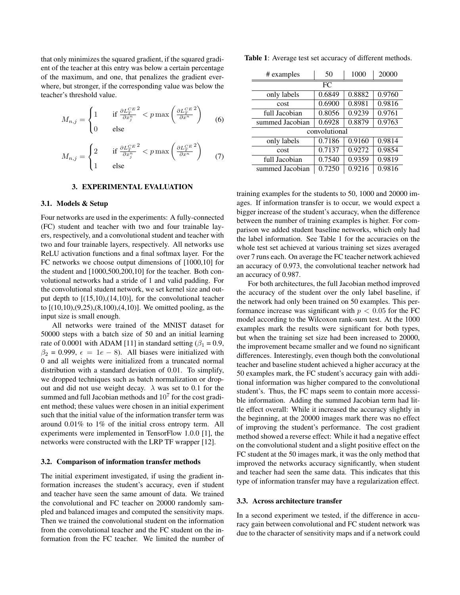that only minimizes the squared gradient, if the squared gradient of the teacher at this entry was below a certain percentage of the maximum, and one, that penalizes the gradient everwhere, but stronger, if the corresponding value was below the teacher's threshold value.

$$
M_{n,j} = \begin{cases} 1 & \text{if } \frac{\partial L_x^{CE}}{\partial x_j^n} < p \max\left(\frac{\partial L_x^{CE}}{\partial x^n}\right) \\ 0 & \text{else} \end{cases} \tag{6}
$$

$$
M_{n,j} = \begin{cases} 2 & \text{if } \frac{\partial L_x^{CE}^2}{\partial x_j^n} < p \max\left(\frac{\partial L_x^{CE}^2}{\partial x^n}\right) \\ 1 & \text{else} \end{cases} \tag{7}
$$

## 3. EXPERIMENTAL EVALUATION

#### 3.1. Models & Setup

Four networks are used in the experiments: A fully-connected (FC) student and teacher with two and four trainable layers, respectively, and a convolutional student and teacher with two and four trainable layers, respectively. All networks use ReLU activation functions and a final softmax layer. For the FC networks we choose output dimensions of [1000,10] for the student and [1000,500,200,10] for the teacher. Both convolutional networks had a stride of 1 and valid padding. For the convolutional student network, we set kernel size and output depth to [(15,10),(14,10)], for the convolutional teacher to [(10,10),(9,25),(8,100),(4,10)]. We omitted pooling, as the input size is small enough.

All networks were trained of the MNIST dataset for 50000 steps with a batch size of 50 and an initial learning rate of 0.0001 with ADAM [11] in standard setting ( $\beta_1 = 0.9$ ,  $\beta_2 = 0.999$ ,  $\epsilon = 1e - 8$ ). All biases were initialized with 0 and all weights were initialized from a truncated normal distribution with a standard deviation of 0.01. To simplify, we dropped techniques such as batch normalization or dropout and did not use weight decay.  $\lambda$  was set to 0.1 for the summed and full Jacobian methods and  $10<sup>7</sup>$  for the cost gradient method; these values were chosen in an initial experiment such that the initial value of the information transfer term was around 0.01% to 1% of the initial cross entropy term. All experiments were implemented in TensorFlow 1.0.0 [1], the networks were constructed with the LRP TF wrapper [12].

### 3.2. Comparison of information transfer methods

The initial experiment investigated, if using the gradient information increases the student's accuracy, even if student and teacher have seen the same amount of data. We trained the convolutional and FC teacher on 20000 randomly sampled and balanced images and computed the sensitivity maps. Then we trained the convolutional student on the information from the convolutional teacher and the FC student on the information from the FC teacher. We limited the number of

Table 1: Average test set accuracy of different methods.

| # examples      | 50     | 1000   | 20000  |  |  |  |  |  |
|-----------------|--------|--------|--------|--|--|--|--|--|
| FC              |        |        |        |  |  |  |  |  |
| only labels     | 0.6849 | 0.8882 | 0.9760 |  |  |  |  |  |
| cost            | 0.6900 | 0.8981 | 0.9816 |  |  |  |  |  |
| full Jacobian   | 0.8056 | 0.9239 | 0.9761 |  |  |  |  |  |
| summed Jacobian | 0.6928 | 0.8879 | 0.9763 |  |  |  |  |  |
| convolutional   |        |        |        |  |  |  |  |  |
| only labels     | 0.7186 | 0.9160 | 0.9814 |  |  |  |  |  |
| cost            | 0.7137 | 0.9272 | 0.9854 |  |  |  |  |  |
| full Jacobian   | 0.7540 | 0.9359 | 0.9819 |  |  |  |  |  |
| summed Jacobian | 0.7250 | 0.9216 | 0.9816 |  |  |  |  |  |

training examples for the students to 50, 1000 and 20000 images. If information transfer is to occur, we would expect a bigger increase of the student's accuracy, when the difference between the number of training examples is higher. For comparison we added student baseline networks, which only had the label information. See Table 1 for the accuracies on the whole test set achieved at various training set sizes averaged over 7 runs each. On average the FC teacher network achieved an accuracy of 0.973, the convolutional teacher network had an accuracy of 0.987.

For both architectures, the full Jacobian method improved the accuracy of the student over the only label baseline, if the network had only been trained on 50 examples. This performance increase was significant with  $p < 0.05$  for the FC model according to the Wilcoxon rank-sum test. At the 1000 examples mark the results were significant for both types, but when the training set size had been increased to 20000, the improvement became smaller and we found no significant differences. Interestingly, even though both the convolutional teacher and baseline student achieved a higher accuracy at the 50 examples mark, the FC student's accuracy gain with additional information was higher compared to the convolutional student's. Thus, the FC maps seem to contain more accessible information. Adding the summed Jacobian term had little effect overall: While it increased the accuracy slightly in the beginning, at the 20000 images mark there was no effect of improving the student's performance. The cost gradient method showed a reverse effect: While it had a negative effect on the convolutional student and a slight positive effect on the FC student at the 50 images mark, it was the only method that improved the networks accuracy significantly, when student and teacher had seen the same data. This indicates that this type of information transfer may have a regularization effect.

#### 3.3. Across architecture transfer

In a second experiment we tested, if the difference in accuracy gain between convolutional and FC student network was due to the character of sensitivity maps and if a network could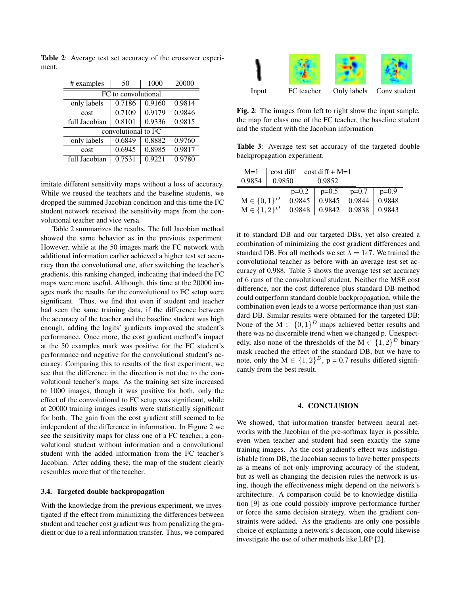Table 2: Average test set accuracy of the crossover experiment.

| # examples          | 50     | 1000   | 20000  |  |  |  |  |  |
|---------------------|--------|--------|--------|--|--|--|--|--|
| FC to convolutional |        |        |        |  |  |  |  |  |
| only labels         | 0.7186 | 0.9160 | 0.9814 |  |  |  |  |  |
| cost                | 0.7109 | 0.9179 | 0.9846 |  |  |  |  |  |
| full Jacobian       | 0.8101 | 0.9336 | 0.9815 |  |  |  |  |  |
| convolutional to FC |        |        |        |  |  |  |  |  |
| only labels         | 0.6849 | 0.8882 | 0.9760 |  |  |  |  |  |
| cost                | 0.6945 | 0.8985 | 0.9817 |  |  |  |  |  |
| full Jacobian       | 0.7531 | 0.9221 | 0.9780 |  |  |  |  |  |

imitate different sensitivity maps without a loss of accuracy. While we reused the teachers and the baseline students, we dropped the summed Jacobian condition and this time the FC student network received the sensitivity maps from the convolutional teacher and vice versa.

Table 2 summarizes the results. The full Jacobian method showed the same behavior as in the previous experiment. However, while at the 50 images mark the FC network with additional information earlier achieved a higher test set accuracy than the convolutional one, after switching the teacher's gradients, this ranking changed, indicating that indeed the FC maps were more useful. Although, this time at the 20000 images mark the results for the convolutional to FC setup were significant. Thus, we find that even if student and teacher had seen the same training data, if the difference between the accuracy of the teacher and the baseline student was high enough, adding the logits' gradients improved the student's performance. Once more, the cost gradient method's impact at the 50 examples mark was positive for the FC student's performance and negative for the convolutional student's accuracy. Comparing this to results of the first experiment, we see that the difference in the direction is not due to the convolutional teacher's maps. As the training set size increased to 1000 images, though it was positive for both, only the effect of the convolutional to FC setup was significant, while at 20000 training images results were statistically significant for both. The gain from the cost gradient still seemed to be independent of the difference in information. In Figure 2 we see the sensitivity maps for class one of a FC teacher, a convolutional student without information and a convolutional student with the added information from the FC teacher's Jacobian. After adding these, the map of the student clearly resembles more that of the teacher.

## 3.4. Targeted double backpropagation

With the knowledge from the previous experiment, we investigated if the effect from minimizing the differences between student and teacher cost gradient was from penalizing the gradient or due to a real information transfer. Thus, we compared



Fig. 2: The images from left to right show the input sample, the map for class one of the FC teacher, the baseline student and the student with the Jacobian information

Table 3: Average test set accuracy of the targeted double backpropagation experiment.

| $M=1$              | cost diff |        | $\cos t \text{ diff} + M=1$ |         |                            |        |
|--------------------|-----------|--------|-----------------------------|---------|----------------------------|--------|
| 0.9854             | 0.9850    |        | 0.9852                      |         |                            |        |
|                    | $p=0.2$   |        | $p=0.5$                     | $p=0.7$ | $p=0.9$                    |        |
| $M \in \{0, 1\}^D$ |           | 0.9845 |                             | 0.9845  | 0.9844                     | 0.9848 |
| $M \in \{1,2\}^D$  |           |        | 0.9848                      |         | $0.9842$   0.9838   0.9843 |        |

it to standard DB and our targeted DBs, yet also created a combination of minimizing the cost gradient differences and standard DB. For all methods we set  $\lambda = 1e7$ . We trained the convolutional teacher as before with an average test set accuracy of 0.988. Table 3 shows the average test set accuracy of 6 runs of the convolutional student. Neither the MSE cost difference, nor the cost difference plus standard DB method could outperform standard double backpropagation, while the combination even leads to a worse performance than just standard DB. Similar results were obtained for the targeted DB: None of the  $M \in \{0,1\}^D$  maps achieved better results and there was no discernible trend when we changed p. Unexpectedly, also none of the thresholds of the  $M \in \{1,2\}^D$  binary mask reached the effect of the standard DB, but we have to note, only the  $M \in \{1, 2\}^D$ , p = 0.7 results differed significantly from the best result.

#### 4. CONCLUSION

We showed, that information transfer between neural networks with the Jacobian of the pre-softmax layer is possible, even when teacher and student had seen exactly the same training images. As the cost gradient's effect was indistiguishable from DB, the Jacobian seems to have better prospects as a means of not only improving accuracy of the student, but as well as changing the decision rules the network is using, though the effectiveness might depend on the network's architecture. A comparison could be to knowledge distillation [9] as one could possibly improve performance further or force the same decision strategy, when the gradient constraints were added. As the gradients are only one possible choice of explaining a network's decision, one could likewise investigate the use of other methods like LRP [2].